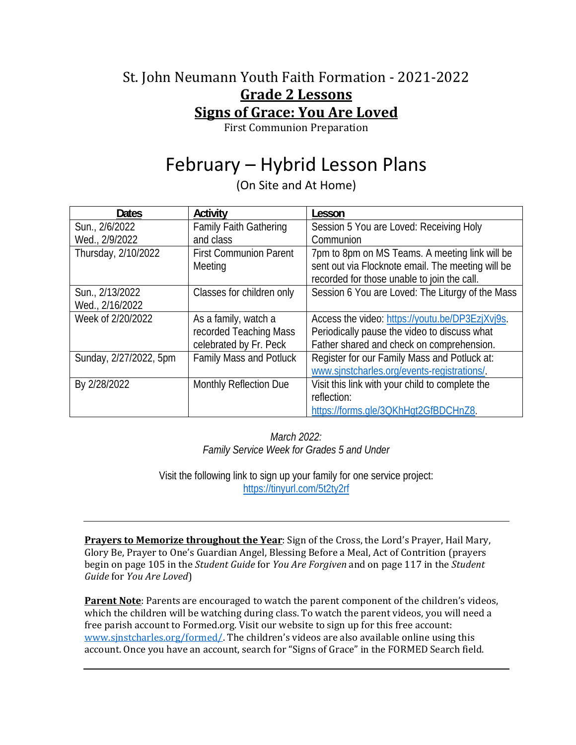### St. John Neumann Youth Faith Formation - 2021-2022 **Grade 2 Lessons Signs of Grace: You Are Loved**

First Communion Preparation

# February – Hybrid Lesson Plans

(On Site and At Home)

| <b>Dates</b>           | Activity                       | Lesson                                            |
|------------------------|--------------------------------|---------------------------------------------------|
| Sun., 2/6/2022         | <b>Family Faith Gathering</b>  | Session 5 You are Loved: Receiving Holy           |
| Wed., 2/9/2022         | and class                      | Communion                                         |
| Thursday, 2/10/2022    | <b>First Communion Parent</b>  | 7pm to 8pm on MS Teams. A meeting link will be    |
|                        | Meeting                        | sent out via Flocknote email. The meeting will be |
|                        |                                | recorded for those unable to join the call.       |
| Sun., 2/13/2022        | Classes for children only      | Session 6 You are Loved: The Liturgy of the Mass  |
| Wed., 2/16/2022        |                                |                                                   |
| Week of 2/20/2022      | As a family, watch a           | Access the video: https://youtu.be/DP3EzjXvj9s.   |
|                        | recorded Teaching Mass         | Periodically pause the video to discuss what      |
|                        | celebrated by Fr. Peck         | Father shared and check on comprehension.         |
| Sunday, 2/27/2022, 5pm | <b>Family Mass and Potluck</b> | Register for our Family Mass and Potluck at:      |
|                        |                                | www.sinstcharles.org/events-registrations/.       |
| By 2/28/2022           | Monthly Reflection Due         | Visit this link with your child to complete the   |
|                        |                                | reflection:                                       |
|                        |                                | https://forms.gle/3QKhHgt2GfBDCHnZ8.              |

*March 2022: Family Service Week for Grades 5 and Under* 

Visit the following link to sign up your family for one service project: https://tinyurl.com/5t2ty2rf

**Prayers to Memorize throughout the Year**: Sign of the Cross, the Lord's Prayer, Hail Mary, Glory Be, Prayer to One's Guardian Angel, Blessing Before a Meal, Act of Contrition (prayers begin on page 105 in the *Student Guide* for *You Are Forgiven* and on page 117 in the *Student Guide* for *You Are Loved*)

**Parent Note**: Parents are encouraged to watch the parent component of the children's videos, which the children will be watching during class. To watch the parent videos, you will need a free parish account to Formed.org. Visit our website to sign up for this free account: www.sjnstcharles.org/formed/. The children's videos are also available online using this account. Once you have an account, search for "Signs of Grace" in the FORMED Search field.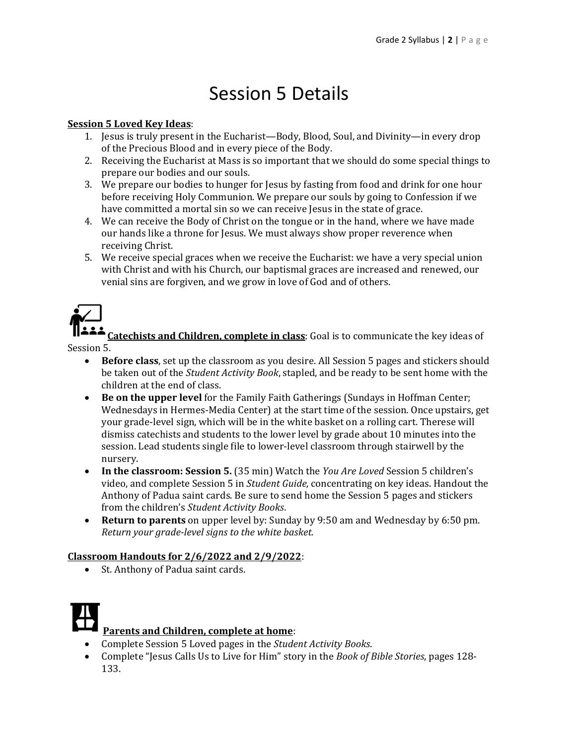## Session 5 Details

#### **Session 5 Loved Key Ideas**:

- 1. Jesus is truly present in the Eucharist—Body, Blood, Soul, and Divinity—in every drop of the Precious Blood and in every piece of the Body.
- 2. Receiving the Eucharist at Mass is so important that we should do some special things to prepare our bodies and our souls.
- 3. We prepare our bodies to hunger for Jesus by fasting from food and drink for one hour before receiving Holy Communion. We prepare our souls by going to Confession if we have committed a mortal sin so we can receive Jesus in the state of grace.
- 4. We can receive the Body of Christ on the tongue or in the hand, where we have made our hands like a throne for Jesus. We must always show proper reverence when receiving Christ.
- 5. We receive special graces when we receive the Eucharist: we have a very special union with Christ and with his Church, our baptismal graces are increased and renewed, our venial sins are forgiven, and we grow in love of God and of others.



**Catechists and Children, complete in class**: Goal is to communicate the key ideas of Session 5.

- **Before class**, set up the classroom as you desire. All Session 5 pages and stickers should be taken out of the *Student Activity Book*, stapled, and be ready to be sent home with the children at the end of class.
- **Be on the upper level** for the Family Faith Gatherings (Sundays in Hoffman Center; Wednesdays in Hermes-Media Center) at the start time of the session. Once upstairs, get your grade-level sign, which will be in the white basket on a rolling cart. Therese will dismiss catechists and students to the lower level by grade about 10 minutes into the session. Lead students single file to lower-level classroom through stairwell by the nursery.
- **In the classroom: Session 5.** (35 min) Watch the *You Are Loved* Session 5 children's video, and complete Session 5 in *Student Guide,* concentrating on key ideas. Handout the Anthony of Padua saint cards. Be sure to send home the Session 5 pages and stickers from the children's *Student Activity Books*.
- **Return to parents** on upper level by: Sunday by 9:50 am and Wednesday by 6:50 pm. *Return your grade‐level signs to the white basket.*

#### **Classroom Handouts for 2/6/2022 and 2/9/2022**:

• St. Anthony of Padua saint cards.



- Complete Session 5 Loved pages in the *Student Activity Books*.
- Complete "Jesus Calls Us to Live for Him" story in the *Book of Bible Stories*, pages 128- 133.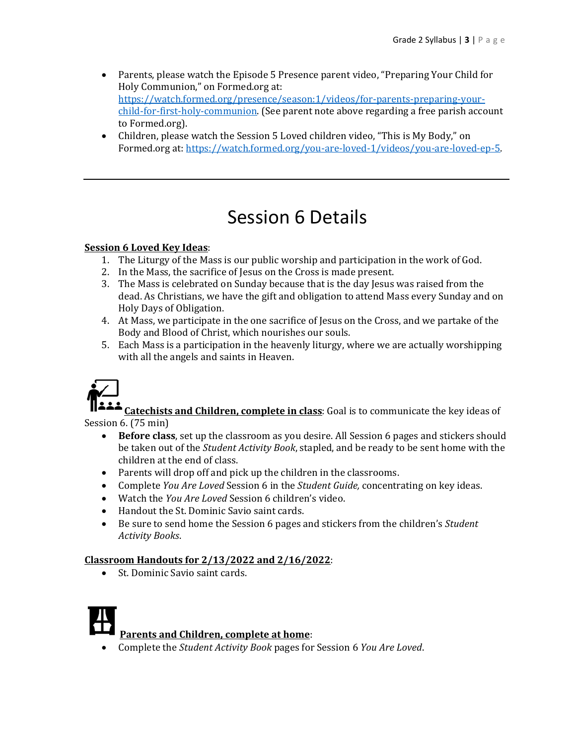- Parents, please watch the Episode 5 Presence parent video, "Preparing Your Child for Holy Communion," on Formed.org at: https://watch.formed.org/presence/season:1/videos/for-parents-preparing-yourchild-for-first-holy-communion. (See parent note above regarding a free parish account to Formed.org).
- Children, please watch the Session 5 Loved children video, "This is My Body," on Formed.org at: https://watch.formed.org/you-are-loved-1/videos/you-are-loved-ep-5.

## Session 6 Details

### **Session 6 Loved Key Ideas**:

- 1. The Liturgy of the Mass is our public worship and participation in the work of God.
- 2. In the Mass, the sacrifice of Jesus on the Cross is made present.
- 3. The Mass is celebrated on Sunday because that is the day Jesus was raised from the dead. As Christians, we have the gift and obligation to attend Mass every Sunday and on Holy Days of Obligation.
- 4. At Mass, we participate in the one sacrifice of Jesus on the Cross, and we partake of the Body and Blood of Christ, which nourishes our souls.
- 5. Each Mass is a participation in the heavenly liturgy, where we are actually worshipping with all the angels and saints in Heaven.



**Catechists and Children, complete in class**: Goal is to communicate the key ideas of Session 6. (75 min)

- **Before class**, set up the classroom as you desire. All Session 6 pages and stickers should be taken out of the *Student Activity Book*, stapled, and be ready to be sent home with the children at the end of class.
- Parents will drop off and pick up the children in the classrooms.
- Complete *You Are Loved* Session 6 in the *Student Guide,* concentrating on key ideas.
- Watch the *You Are Loved* Session 6 children's video.
- Handout the St. Dominic Savio saint cards.
- Be sure to send home the Session 6 pages and stickers from the children's *Student Activity Books*.

#### **Classroom Handouts for 2/13/2022 and 2/16/2022**:

• St. Dominic Savio saint cards.



Complete the *Student Activity Book* pages for Session 6 *You Are Loved*.